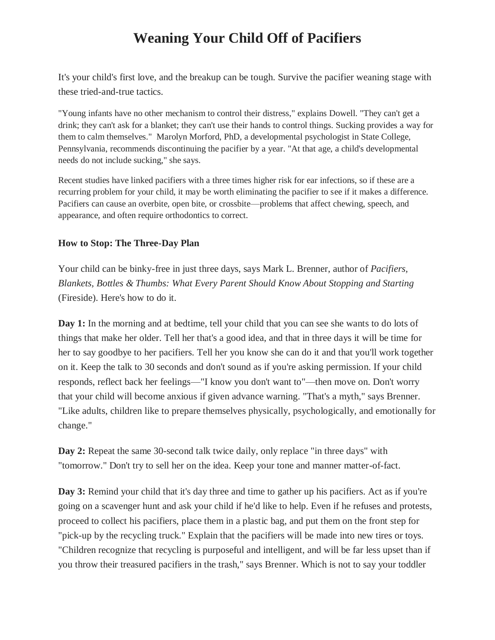# **Weaning Your Child Off of Pacifiers**

It's your child's first love, and the breakup can be tough. Survive the pacifier weaning stage with these tried-and-true tactics.

"Young infants have no other mechanism to control their distress," explains Dowell. "They can't get a drink; they can't ask for a blanket; they can't use their hands to control things. Sucking provides a way for them to calm themselves." Marolyn Morford, PhD, a developmental psychologist in State College, Pennsylvania, recommends discontinuing the pacifier by a year. "At that age, a child's developmental needs do not include sucking," she says.

Recent studies have linked pacifiers with a three times higher risk for ear infections, so if these are a recurring problem for your child, it may be worth eliminating the pacifier to see if it makes a difference. Pacifiers can cause an overbite, open bite, or crossbite—problems that affect chewing, speech, and appearance, and often require orthodontics to correct.

### **How to Stop: The Three-Day Plan**

Your child can be binky-free in just three days, says Mark L. Brenner, author of *Pacifiers, Blankets, Bottles & Thumbs: What Every Parent Should Know About Stopping and Starting* (Fireside). Here's how to do it.

**Day 1:** In the morning and at bedtime, tell your child that you can see she wants to do lots of things that make her older. Tell her that's a good idea, and that in three days it will be time for her to say goodbye to her pacifiers. Tell her you know she can do it and that you'll work together on it. Keep the talk to 30 seconds and don't sound as if you're asking permission. If your child responds, reflect back her feelings—"I know you don't want to"—then move on. Don't worry that your child will become anxious if given advance warning. "That's a myth," says Brenner. "Like adults, children like to prepare themselves physically, psychologically, and emotionally for change."

**Day 2:** Repeat the same 30-second talk twice daily, only replace "in three days" with "tomorrow." Don't try to sell her on the idea. Keep your tone and manner matter-of-fact.

**Day 3:** Remind your child that it's day three and time to gather up his pacifiers. Act as if you're going on a scavenger hunt and ask your child if he'd like to help. Even if he refuses and protests, proceed to collect his pacifiers, place them in a plastic bag, and put them on the front step for "pick-up by the recycling truck." Explain that the pacifiers will be made into new tires or toys. "Children recognize that recycling is purposeful and intelligent, and will be far less upset than if you throw their treasured pacifiers in the trash," says Brenner. Which is not to say your toddler